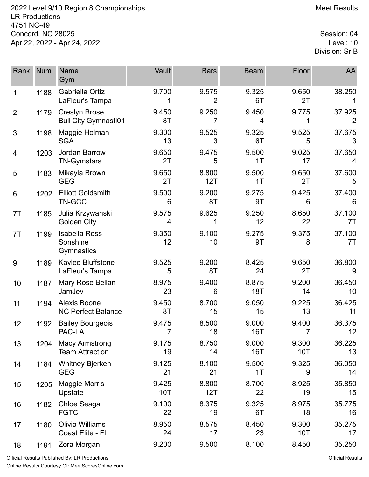2022 Level 9/10 Region 8 Championships **Meet Results** Meet Results LR Productions 4751 NC-49 Concord, NC 28025 Session: 04<br>Apr 22, 2022 - Apr 24, 2022 Apr 22, 2022 - Apr 24, 2022

Division: Sr B

| Rank           | <b>Num</b> | Name<br>Gym                                         | Vault        | <b>Bars</b>             | <b>Beam</b>         | Floor               | AA           |
|----------------|------------|-----------------------------------------------------|--------------|-------------------------|---------------------|---------------------|--------------|
| 1              | 1188       | Gabriella Ortiz<br>LaFleur's Tampa                  | 9.700        | 9.575<br>$\overline{2}$ | 9.325<br>6T         | 9.650<br>2T         | 38.250       |
| $\overline{2}$ | 1179       | <b>Creslyn Brose</b><br><b>Bull City Gymnasti01</b> | 9.450<br>8T  | 9.250<br>7              | 9.450<br>4          | 9.775               | 37.925<br>2  |
| 3              | 1198       | Maggie Holman<br><b>SGA</b>                         | 9.300<br>13  | 9.525<br>3              | 9.325<br>6T         | 9.525<br>5          | 37.675<br>3  |
| 4              | 1203       | Jordan Barrow<br><b>TN-Gymstars</b>                 | 9.650<br>2T  | 9.475<br>5              | 9.500<br>1T         | 9.025<br>17         | 37.650<br>4  |
| 5              | 1183       | Mikayla Brown<br><b>GEG</b>                         | 9.650<br>2T  | 8.800<br>12T            | 9.500<br>1T         | 9.650<br>2T         | 37.600<br>5  |
| 6              | 1202       | <b>Elliott Goldsmith</b><br>TN-GCC                  | 9.500<br>6   | 9.200<br>8T             | 9.275<br>9T         | 9.425<br>6          | 37.400<br>6  |
| 7T             | 1185       | Julia Krzywanski<br><b>Golden City</b>              | 9.575<br>4   | 9.625                   | 9.250<br>12         | 8.650<br>22         | 37.100<br>7T |
| 7T             | 1199       | <b>Isabella Ross</b><br>Sonshine<br>Gymnastics      | 9.350<br>12  | 9.100<br>10             | 9.275<br>9T         | 9.375<br>8          | 37.100<br>7T |
| 9              | 1189       | Kaylee Bluffstone<br>LaFleur's Tampa                | 9.525<br>5   | 9.200<br>8T             | 8.425<br>24         | 9.650<br>2T         | 36.800<br>9  |
| 10             | 1187       | Mary Rose Bellan<br>JamJev                          | 8.975<br>23  | 9.400<br>6              | 8.875<br><b>18T</b> | 9.200<br>14         | 36.450<br>10 |
| 11             | 1194       | <b>Alexis Boone</b><br><b>NC Perfect Balance</b>    | 9.450<br>8T  | 8.700<br>15             | 9.050<br>15         | 9.225<br>13         | 36.425<br>11 |
| 12             | 1192       | <b>Bailey Bourgeois</b><br>PAC-LA                   | 9.475<br>7   | 8.500<br>18             | 9.000<br>16T        | 9.400<br>7          | 36.375<br>12 |
| 13             | 1204       | <b>Macy Armstrong</b><br><b>Team Attraction</b>     | 9.175<br>19  | 8.750<br>14             | 9.000<br>16T        | 9.300<br><b>10T</b> | 36.225<br>13 |
| 14             | 1184       | <b>Whitney Bjerken</b><br><b>GEG</b>                | 9.125<br>21  | 8.100<br>21             | 9.500<br>1T         | 9.325<br>9          | 36.050<br>14 |
| 15             | 1205       | <b>Maggie Morris</b><br>Upstate                     | 9.425<br>10T | 8.800<br>12T            | 8.700<br>22         | 8.925<br>19         | 35.850<br>15 |
| 16             | 1182       | Chloe Seaga<br><b>FGTC</b>                          | 9.100<br>22  | 8.375<br>19             | 9.325<br>6T         | 8.975<br>18         | 35.775<br>16 |
| 17             | 1180       | Olivia Williams<br>Coast Elite - FL                 | 8.950<br>24  | 8.575<br>17             | 8.450<br>23         | 9.300<br>10T        | 35.275<br>17 |
| 18             | 1191       | Zora Morgan                                         | 9.200        | 9.500                   | 8.100               | 8.450               | 35.250       |

Official Results Published By: LR Productions Online Results Courtesy Of: [MeetScoresOnline.com](http://www.meetscoresonline.com)